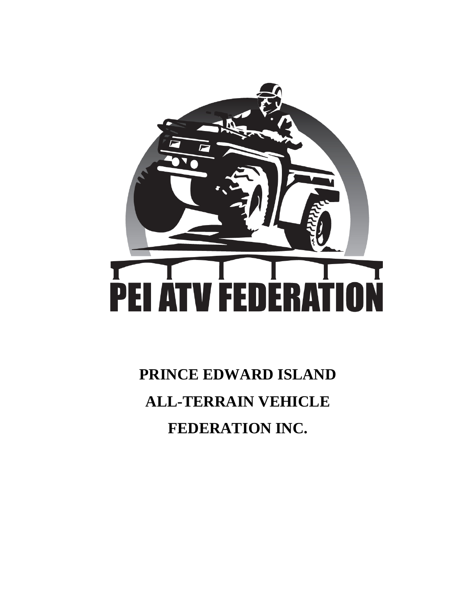

**PRINCE EDWARD ISLAND ALL-TERRAIN VEHICLE FEDERATION INC.**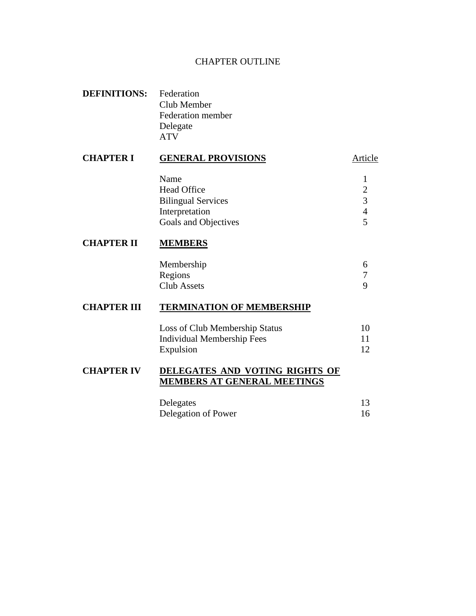### CHAPTER OUTLINE

| <b>DEFINITIONS:</b> Federation |                          |
|--------------------------------|--------------------------|
|                                | Club Member              |
|                                | <b>Federation member</b> |
|                                | Delegate                 |
|                                | <b>ATV</b>               |

# **CHAPTER I GENERAL PROVISIONS** Article Name 1 Head Office 2 Bilingual Services 3 Interpretation 4

#### **CHAPTER II MEMBERS**

| Membership  |  |
|-------------|--|
| Regions     |  |
| Club Assets |  |

Goals and Objectives 5

### **CHAPTER III TERMINATION OF MEMBERSHIP**

| Loss of Club Membership Status | 10 |
|--------------------------------|----|
| Individual Membership Fees     |    |
| Expulsion                      | 12 |

### **CHAPTER IV DELEGATES AND VOTING RIGHTS OF MEMBERS AT GENERAL MEETINGS**

| Delegates           | 13 |
|---------------------|----|
| Delegation of Power | 16 |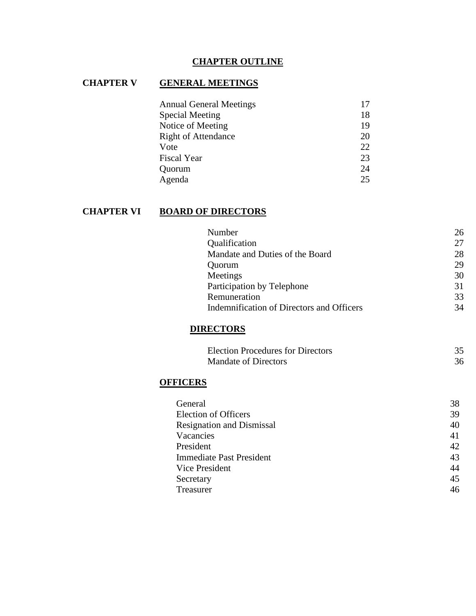## **CHAPTER OUTLINE**

## **CHAPTER V GENERAL MEETINGS**

| <b>Annual General Meetings</b> | 17 |
|--------------------------------|----|
| <b>Special Meeting</b>         | 18 |
| Notice of Meeting              | 19 |
| <b>Right of Attendance</b>     | 20 |
| Vote                           | 22 |
| <b>Fiscal Year</b>             | 23 |
| Quorum                         | 24 |
| Agenda                         | 25 |

# **CHAPTER VI BOARD OF DIRECTORS**

| Number                                    | 26 |
|-------------------------------------------|----|
| Qualification                             | 27 |
| Mandate and Duties of the Board           | 28 |
| Quorum                                    | 29 |
| Meetings                                  | 30 |
| Participation by Telephone                | 31 |
| Remuneration                              | 33 |
| Indemnification of Directors and Officers | 34 |
|                                           |    |

### **DIRECTORS**

| <b>Election Procedures for Directors</b> |    |
|------------------------------------------|----|
| <b>Mandate of Directors</b>              | 36 |

## **OFFICERS**

| General                          | 38 |
|----------------------------------|----|
| <b>Election of Officers</b>      | 39 |
| <b>Resignation and Dismissal</b> | 40 |
| Vacancies                        | 41 |
| President                        | 42 |
| <b>Immediate Past President</b>  | 43 |
| Vice President                   | 44 |
| Secretary                        | 45 |
| <b>Treasurer</b>                 | 46 |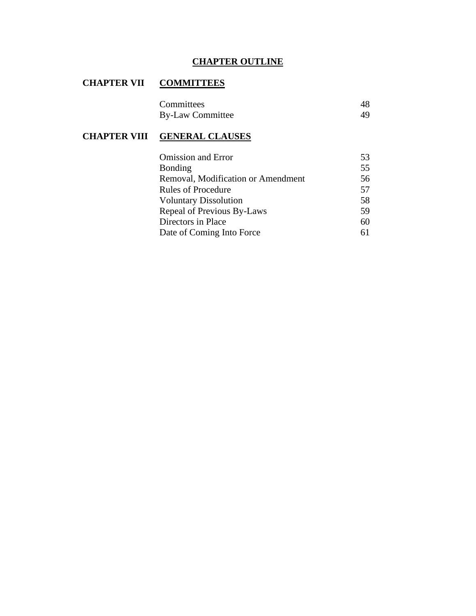## **CHAPTER OUTLINE**

## **CHAPTER VII COMMITTEES**

| Committees              | 48 |
|-------------------------|----|
| <b>By-Law Committee</b> |    |

### **CHAPTER VIII GENERAL CLAUSES**

| <b>Omission and Error</b>          | 53 |
|------------------------------------|----|
| <b>Bonding</b>                     | 55 |
| Removal, Modification or Amendment | 56 |
| <b>Rules of Procedure</b>          | 57 |
| <b>Voluntary Dissolution</b>       | 58 |
| Repeal of Previous By-Laws         | 59 |
| Directors in Place                 | 60 |
| Date of Coming Into Force          | 61 |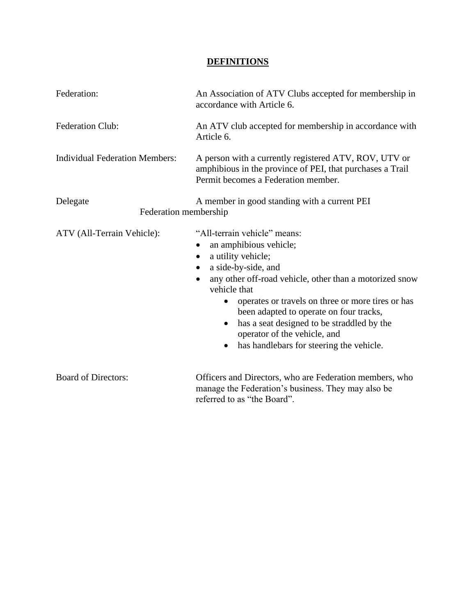## **DEFINITIONS**

| Federation:                           | An Association of ATV Clubs accepted for membership in<br>accordance with Article 6.                                                                                                                                                                                                                                                                                                                                                    |
|---------------------------------------|-----------------------------------------------------------------------------------------------------------------------------------------------------------------------------------------------------------------------------------------------------------------------------------------------------------------------------------------------------------------------------------------------------------------------------------------|
| <b>Federation Club:</b>               | An ATV club accepted for membership in accordance with<br>Article 6.                                                                                                                                                                                                                                                                                                                                                                    |
| <b>Individual Federation Members:</b> | A person with a currently registered ATV, ROV, UTV or<br>amphibious in the province of PEI, that purchases a Trail<br>Permit becomes a Federation member.                                                                                                                                                                                                                                                                               |
| Delegate<br>Federation membership     | A member in good standing with a current PEI                                                                                                                                                                                                                                                                                                                                                                                            |
| ATV (All-Terrain Vehicle):            | "All-terrain vehicle" means:<br>an amphibious vehicle;<br>a utility vehicle;<br>$\bullet$<br>a side-by-side, and<br>٠<br>any other off-road vehicle, other than a motorized snow<br>vehicle that<br>operates or travels on three or more tires or has<br>been adapted to operate on four tracks,<br>has a seat designed to be straddled by the<br>$\bullet$<br>operator of the vehicle, and<br>has handlebars for steering the vehicle. |
| <b>Board of Directors:</b>            | Officers and Directors, who are Federation members, who<br>manage the Federation's business. They may also be<br>referred to as "the Board".                                                                                                                                                                                                                                                                                            |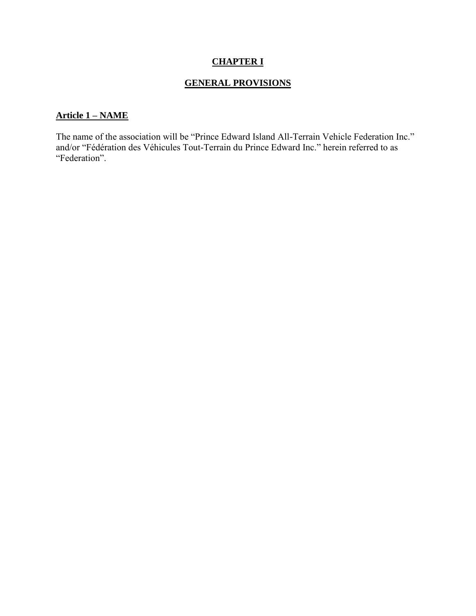## **CHAPTER I**

## **GENERAL PROVISIONS**

### **Article 1 – NAME**

The name of the association will be "Prince Edward Island All-Terrain Vehicle Federation Inc." and/or "Fédération des Véhicules Tout-Terrain du Prince Edward Inc." herein referred to as "Federation".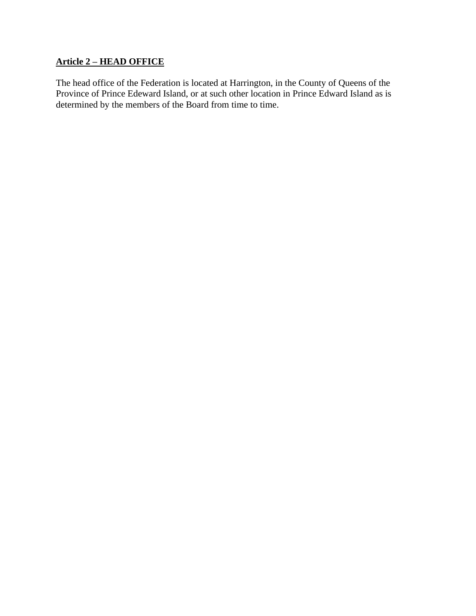## **Article 2 – HEAD OFFICE**

The head office of the Federation is located at Harrington, in the County of Queens of the Province of Prince Edeward Island, or at such other location in Prince Edward Island as is determined by the members of the Board from time to time.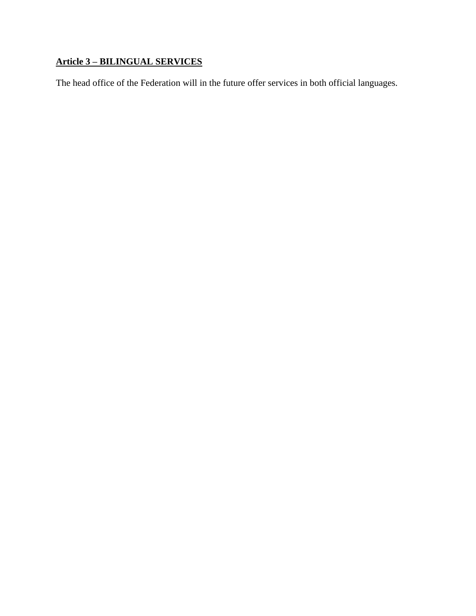# **Article 3 – BILINGUAL SERVICES**

The head office of the Federation will in the future offer services in both official languages.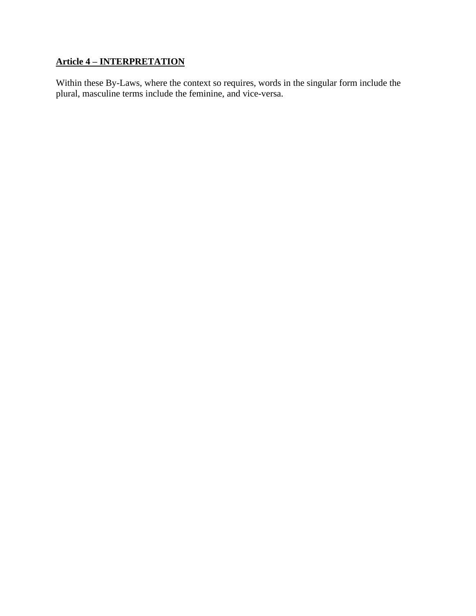# **Article 4 – INTERPRETATION**

Within these By-Laws, where the context so requires, words in the singular form include the plural, masculine terms include the feminine, and vice-versa.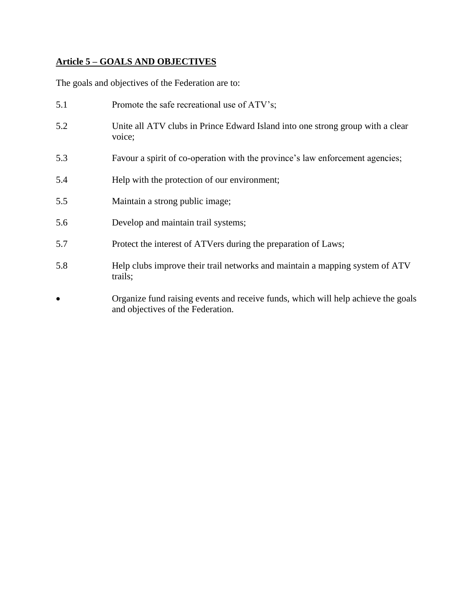# **Article 5 – GOALS AND OBJECTIVES**

The goals and objectives of the Federation are to:

| 5.1       | Promote the safe recreational use of ATV's;                                                                            |
|-----------|------------------------------------------------------------------------------------------------------------------------|
| 5.2       | Unite all ATV clubs in Prince Edward Island into one strong group with a clear<br>voice;                               |
| 5.3       | Favour a spirit of co-operation with the province's law enforcement agencies;                                          |
| 5.4       | Help with the protection of our environment;                                                                           |
| 5.5       | Maintain a strong public image;                                                                                        |
| 5.6       | Develop and maintain trail systems;                                                                                    |
| 5.7       | Protect the interest of ATVers during the preparation of Laws;                                                         |
| 5.8       | Help clubs improve their trail networks and maintain a mapping system of ATV<br>trails;                                |
| $\bullet$ | Organize fund raising events and receive funds, which will help achieve the goals<br>and objectives of the Federation. |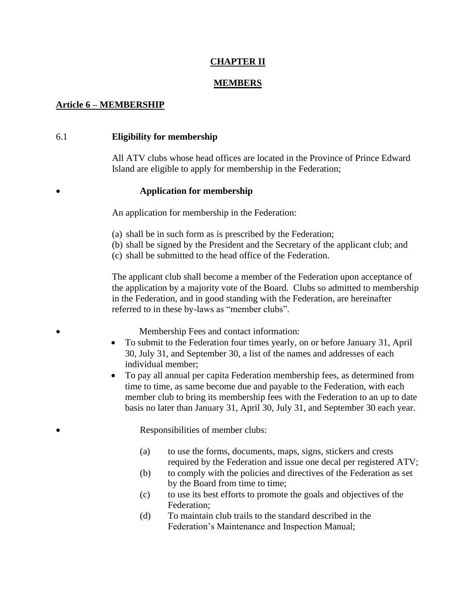### **CHAPTER II**

#### **MEMBERS**

### **Article 6 – MEMBERSHIP**

#### 6.1 **Eligibility for membership**

All ATV clubs whose head offices are located in the Province of Prince Edward Island are eligible to apply for membership in the Federation;

#### • **Application for membership**

An application for membership in the Federation:

- (a) shall be in such form as is prescribed by the Federation;
- (b) shall be signed by the President and the Secretary of the applicant club; and
- (c) shall be submitted to the head office of the Federation.

The applicant club shall become a member of the Federation upon acceptance of the application by a majority vote of the Board. Clubs so admitted to membership in the Federation, and in good standing with the Federation, are hereinafter referred to in these by-laws as "member clubs".

• Membership Fees and contact information:

- To submit to the Federation four times yearly, on or before January 31, April 30, July 31, and September 30, a list of the names and addresses of each individual member;
- To pay all annual per capita Federation membership fees, as determined from time to time, as same become due and payable to the Federation, with each member club to bring its membership fees with the Federation to an up to date basis no later than January 31, April 30, July 31, and September 30 each year.

• Responsibilities of member clubs:

- (a) to use the forms, documents, maps, signs, stickers and crests required by the Federation and issue one decal per registered ATV;
- (b) to comply with the policies and directives of the Federation as set by the Board from time to time;
- (c) to use its best efforts to promote the goals and objectives of the Federation;
- (d) To maintain club trails to the standard described in the Federation's Maintenance and Inspection Manual;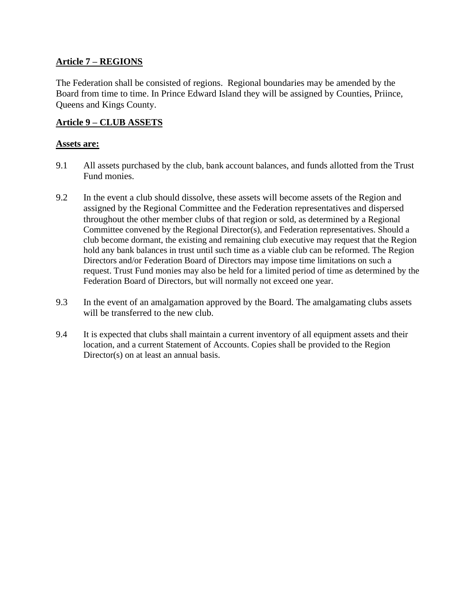### **Article 7 – REGIONS**

The Federation shall be consisted of regions. Regional boundaries may be amended by the Board from time to time. In Prince Edward Island they will be assigned by Counties, Priince, Queens and Kings County.

## **Article 9 – CLUB ASSETS**

#### **Assets are:**

- 9.1 All assets purchased by the club, bank account balances, and funds allotted from the Trust Fund monies.
- 9.2 In the event a club should dissolve, these assets will become assets of the Region and assigned by the Regional Committee and the Federation representatives and dispersed throughout the other member clubs of that region or sold, as determined by a Regional Committee convened by the Regional Director(s), and Federation representatives. Should a club become dormant, the existing and remaining club executive may request that the Region hold any bank balances in trust until such time as a viable club can be reformed. The Region Directors and/or Federation Board of Directors may impose time limitations on such a request. Trust Fund monies may also be held for a limited period of time as determined by the Federation Board of Directors, but will normally not exceed one year.
- 9.3 In the event of an amalgamation approved by the Board. The amalgamating clubs assets will be transferred to the new club.
- 9.4 It is expected that clubs shall maintain a current inventory of all equipment assets and their location, and a current Statement of Accounts. Copies shall be provided to the Region Director(s) on at least an annual basis.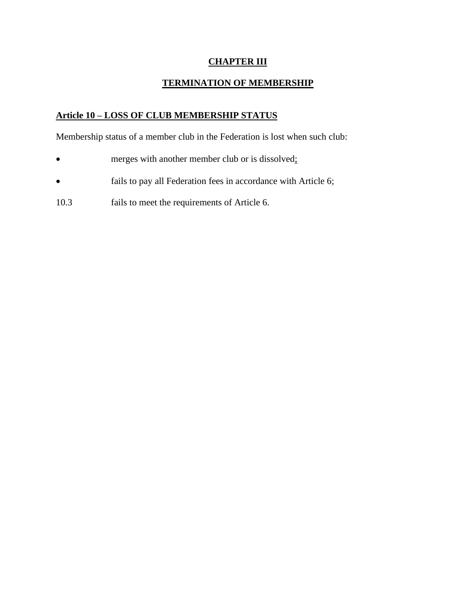## **CHAPTER III**

## **TERMINATION OF MEMBERSHIP**

## **Article 10 – LOSS OF CLUB MEMBERSHIP STATUS**

Membership status of a member club in the Federation is lost when such club:

- merges with another member club or is dissolved;
- fails to pay all Federation fees in accordance with Article 6;
- 10.3 fails to meet the requirements of Article 6.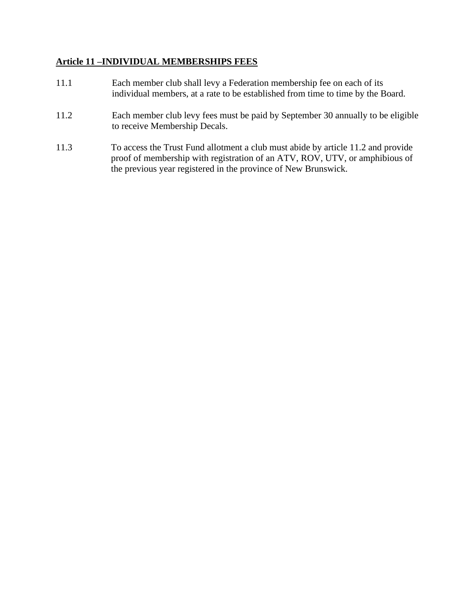### **Article 11 –INDIVIDUAL MEMBERSHIPS FEES**

- 11.1 Each member club shall levy a Federation membership fee on each of its individual members, at a rate to be established from time to time by the Board.
- 11.2 Each member club levy fees must be paid by September 30 annually to be eligible to receive Membership Decals.
- 11.3 To access the Trust Fund allotment a club must abide by article 11.2 and provide proof of membership with registration of an ATV, ROV, UTV, or amphibious of the previous year registered in the province of New Brunswick.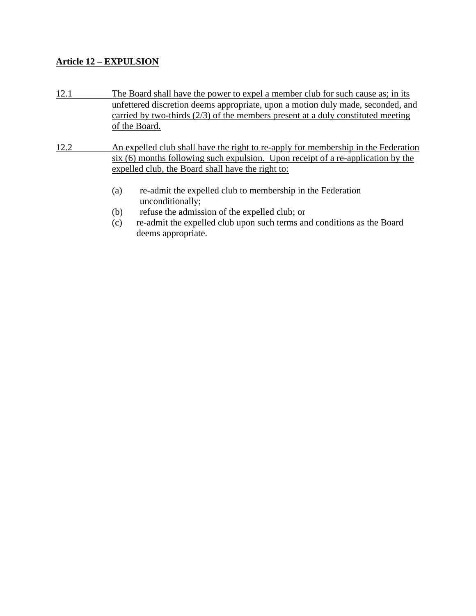### **Article 12 – EXPULSION**

- 12.1 The Board shall have the power to expel a member club for such cause as; in its unfettered discretion deems appropriate, upon a motion duly made, seconded, and carried by two-thirds (2/3) of the members present at a duly constituted meeting of the Board.
- 12.2 An expelled club shall have the right to re-apply for membership in the Federation six (6) months following such expulsion. Upon receipt of a re-application by the expelled club, the Board shall have the right to:
	- (a) re-admit the expelled club to membership in the Federation unconditionally;
	- (b) refuse the admission of the expelled club; or
	- (c) re-admit the expelled club upon such terms and conditions as the Board deems appropriate.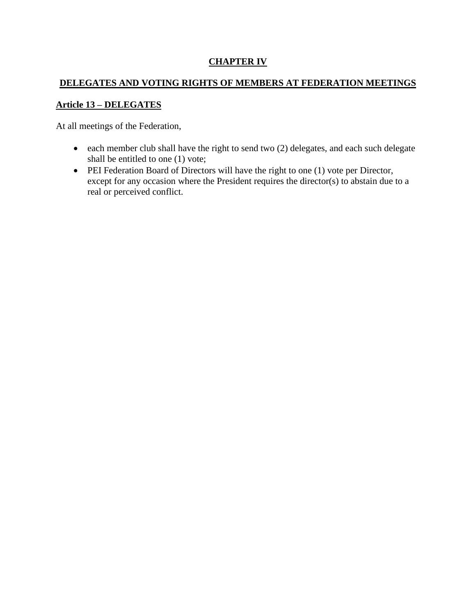## **CHAPTER IV**

## **DELEGATES AND VOTING RIGHTS OF MEMBERS AT FEDERATION MEETINGS**

## **Article 13 – DELEGATES**

At all meetings of the Federation,

- each member club shall have the right to send two (2) delegates, and each such delegate shall be entitled to one (1) vote;
- PEI Federation Board of Directors will have the right to one (1) vote per Director, except for any occasion where the President requires the director(s) to abstain due to a real or perceived conflict.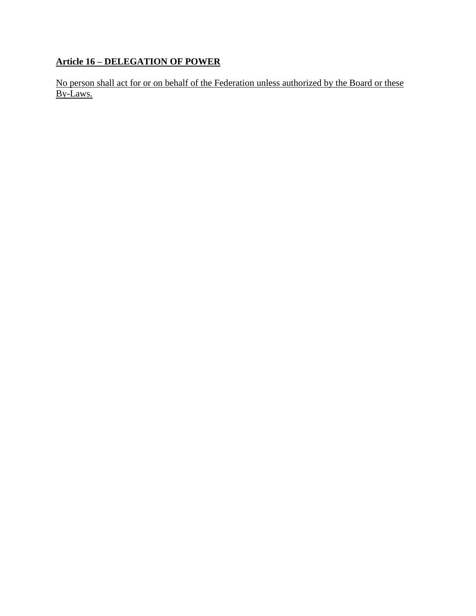# **Article 16 – DELEGATION OF POWER**

No person shall act for or on behalf of the Federation unless authorized by the Board or these By-Laws.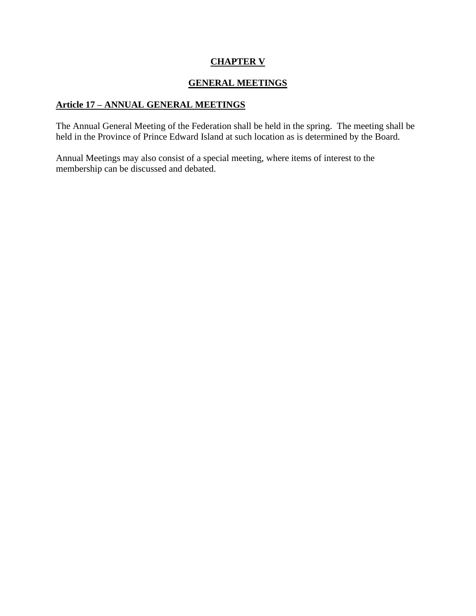## **CHAPTER V**

## **GENERAL MEETINGS**

## **Article 17 – ANNUAL GENERAL MEETINGS**

The Annual General Meeting of the Federation shall be held in the spring. The meeting shall be held in the Province of Prince Edward Island at such location as is determined by the Board.

Annual Meetings may also consist of a special meeting, where items of interest to the membership can be discussed and debated.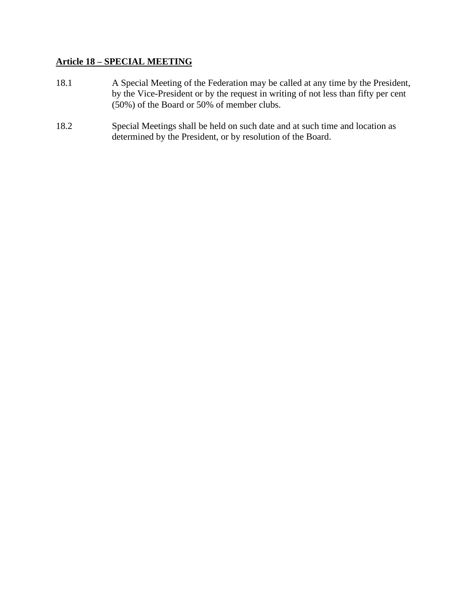### **Article 18 – SPECIAL MEETING**

- 18.1 A Special Meeting of the Federation may be called at any time by the President, by the Vice-President or by the request in writing of not less than fifty per cent (50%) of the Board or 50% of member clubs.
- 18.2 Special Meetings shall be held on such date and at such time and location as determined by the President, or by resolution of the Board.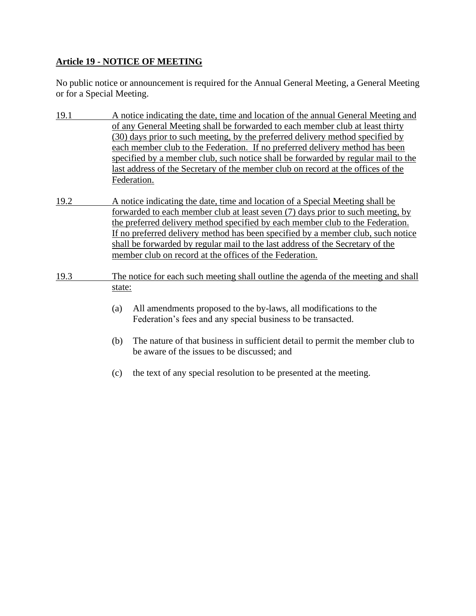## **Article 19 - NOTICE OF MEETING**

No public notice or announcement is required for the Annual General Meeting, a General Meeting or for a Special Meeting.

| 19.1 |                                                                                    | A notice indicating the date, time and location of the annual General Meeting and                                                                                                                                                                                                                                                                                                                                                       |
|------|------------------------------------------------------------------------------------|-----------------------------------------------------------------------------------------------------------------------------------------------------------------------------------------------------------------------------------------------------------------------------------------------------------------------------------------------------------------------------------------------------------------------------------------|
|      |                                                                                    | of any General Meeting shall be forwarded to each member club at least thirty<br>(30) days prior to such meeting, by the preferred delivery method specified by<br>each member club to the Federation. If no preferred delivery method has been<br>specified by a member club, such notice shall be forwarded by regular mail to the<br>last address of the Secretary of the member club on record at the offices of the<br>Federation. |
| 19.2 |                                                                                    | A notice indicating the date, time and location of a Special Meeting shall be                                                                                                                                                                                                                                                                                                                                                           |
|      |                                                                                    | forwarded to each member club at least seven (7) days prior to such meeting, by<br>the preferred delivery method specified by each member club to the Federation.<br>If no preferred delivery method has been specified by a member club, such notice<br>shall be forwarded by regular mail to the last address of the Secretary of the<br>member club on record at the offices of the Federation.                                      |
| 19.3 | The notice for each such meeting shall outline the agenda of the meeting and shall |                                                                                                                                                                                                                                                                                                                                                                                                                                         |
|      | state:<br>(a)                                                                      | All amendments proposed to the by-laws, all modifications to the<br>Federation's fees and any special business to be transacted.                                                                                                                                                                                                                                                                                                        |
|      | (b)                                                                                | The nature of that business in sufficient detail to permit the member club to<br>be aware of the issues to be discussed; and                                                                                                                                                                                                                                                                                                            |
|      | (c)                                                                                | the text of any special resolution to be presented at the meeting.                                                                                                                                                                                                                                                                                                                                                                      |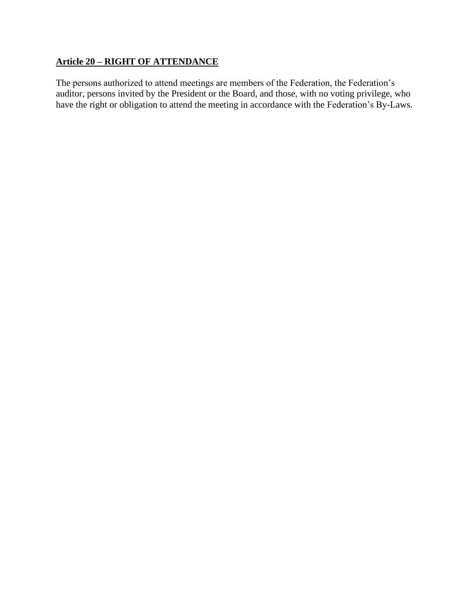## **Article 20 – RIGHT OF ATTENDANCE**

The persons authorized to attend meetings are members of the Federation, the Federation's auditor, persons invited by the President or the Board, and those, with no voting privilege, who have the right or obligation to attend the meeting in accordance with the Federation's By-Laws.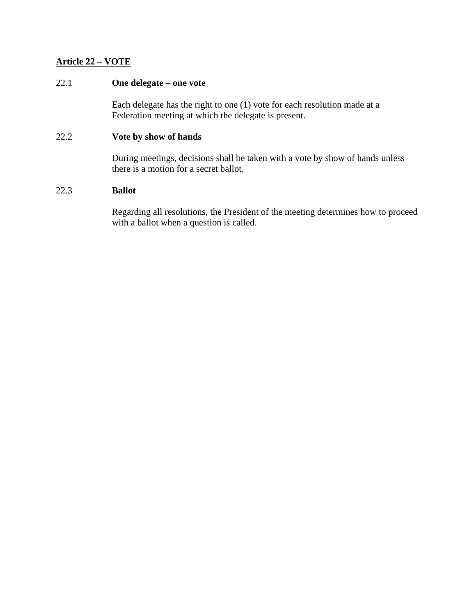### **Article 22 – VOTE**

### 22.1 **One delegate – one vote**

Each delegate has the right to one (1) vote for each resolution made at a Federation meeting at which the delegate is present.

#### 22.2 **Vote by show of hands**

During meetings, decisions shall be taken with a vote by show of hands unless there is a motion for a secret ballot.

### 22.3 **Ballot**

Regarding all resolutions, the President of the meeting determines how to proceed with a ballot when a question is called.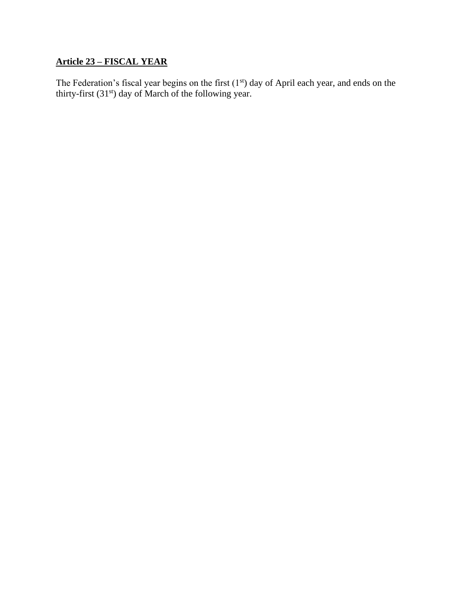## **Article 23 – FISCAL YEAR**

The Federation's fiscal year begins on the first  $(1<sup>st</sup>)$  day of April each year, and ends on the thirty-first  $(31<sup>st</sup>)$  day of March of the following year.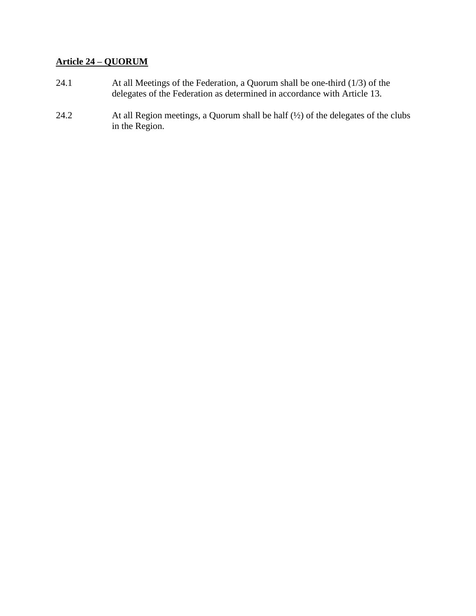## **Article 24 – QUORUM**

- 24.1 At all Meetings of the Federation, a Quorum shall be one-third (1/3) of the delegates of the Federation as determined in accordance with Article 13.
- 24.2 At all Region meetings, a Quorum shall be half (½) of the delegates of the clubs in the Region.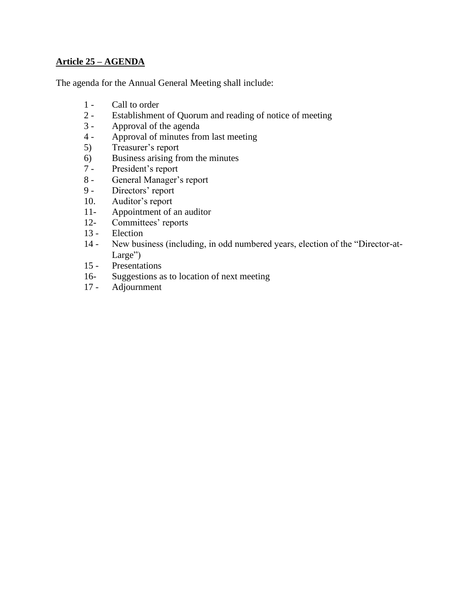## **Article 25 – AGENDA**

The agenda for the Annual General Meeting shall include:

- 1 Call to order
- 2 Establishment of Quorum and reading of notice of meeting
- 3 Approval of the agenda
- 4 Approval of minutes from last meeting
- 5) Treasurer's report
- 6) Business arising from the minutes
- 7 President's report
- 8 General Manager's report
- 9 Directors' report
- 10. Auditor's report
- 11- Appointment of an auditor
- 12- Committees' reports
- 13 Election
- 14 New business (including, in odd numbered years, election of the "Director-at-Large")
- 15 Presentations
- 16- Suggestions as to location of next meeting<br>17 Adjournment
- Adjournment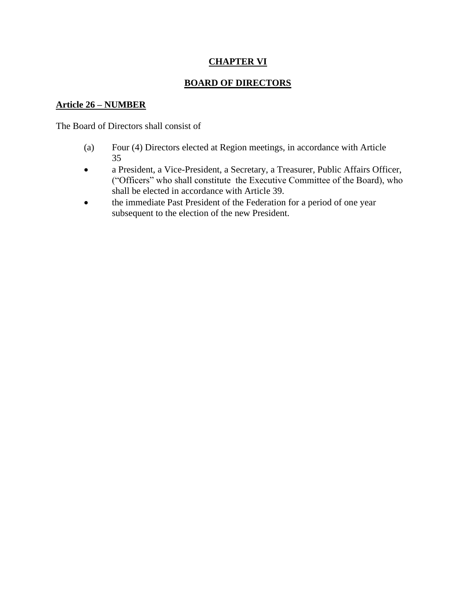## **CHAPTER VI**

## **BOARD OF DIRECTORS**

### **Article 26 – NUMBER**

The Board of Directors shall consist of

- (a) Four (4) Directors elected at Region meetings, in accordance with Article 35
- a President, a Vice-President, a Secretary, a Treasurer, Public Affairs Officer, ("Officers" who shall constitute the Executive Committee of the Board), who shall be elected in accordance with Article 39.
- the immediate Past President of the Federation for a period of one year subsequent to the election of the new President.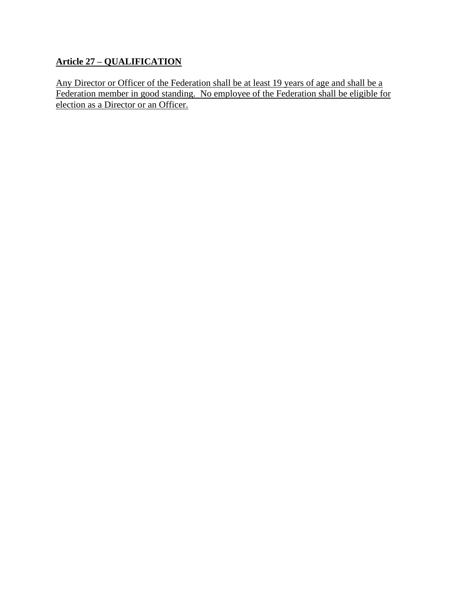## **Article 27 – QUALIFICATION**

Any Director or Officer of the Federation shall be at least 19 years of age and shall be a Federation member in good standing. No employee of the Federation shall be eligible for election as a Director or an Officer.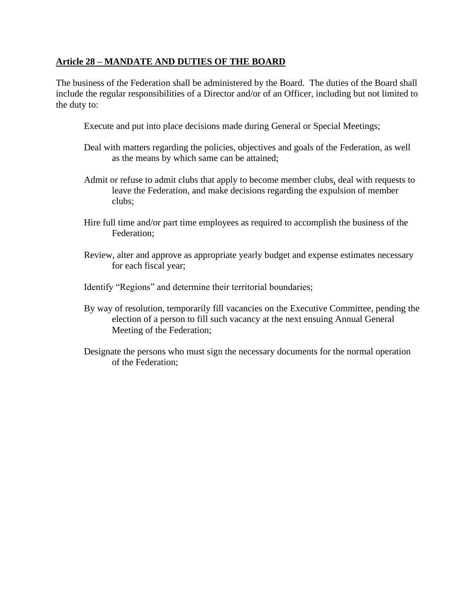### **Article 28 – MANDATE AND DUTIES OF THE BOARD**

The business of the Federation shall be administered by the Board. The duties of the Board shall include the regular responsibilities of a Director and/or of an Officer, including but not limited to the duty to:

- Execute and put into place decisions made during General or Special Meetings;
- Deal with matters regarding the policies, objectives and goals of the Federation, as well as the means by which same can be attained;
- Admit or refuse to admit clubs that apply to become member clubs, deal with requests to leave the Federation, and make decisions regarding the expulsion of member clubs;
- Hire full time and/or part time employees as required to accomplish the business of the Federation;
- Review, alter and approve as appropriate yearly budget and expense estimates necessary for each fiscal year;
- Identify "Regions" and determine their territorial boundaries;
- By way of resolution, temporarily fill vacancies on the Executive Committee, pending the election of a person to fill such vacancy at the next ensuing Annual General Meeting of the Federation;
- Designate the persons who must sign the necessary documents for the normal operation of the Federation;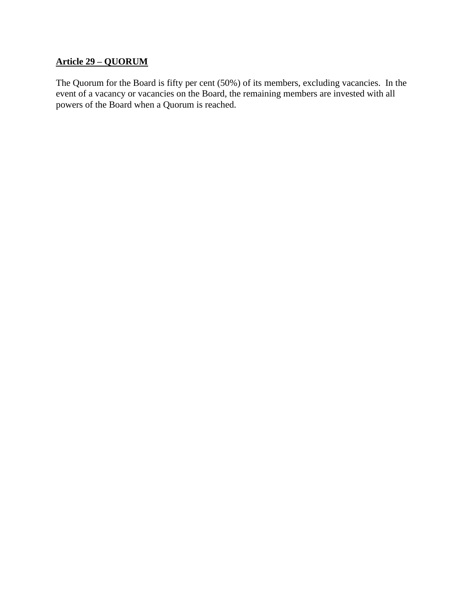## **Article 29 – QUORUM**

The Quorum for the Board is fifty per cent (50%) of its members, excluding vacancies. In the event of a vacancy or vacancies on the Board, the remaining members are invested with all powers of the Board when a Quorum is reached.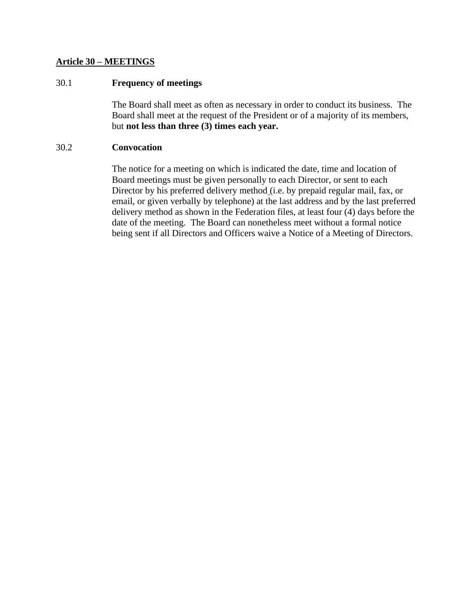#### **Article 30 – MEETINGS**

#### 30.1 **Frequency of meetings**

The Board shall meet as often as necessary in order to conduct its business. The Board shall meet at the request of the President or of a majority of its members, but **not less than three (3) times each year.**

#### 30.2 **Convocation**

The notice for a meeting on which is indicated the date, time and location of Board meetings must be given personally to each Director, or sent to each Director by his preferred delivery method (i.e. by prepaid regular mail, fax, or email, or given verbally by telephone) at the last address and by the last preferred delivery method as shown in the Federation files, at least four (4) days before the date of the meeting. The Board can nonetheless meet without a formal notice being sent if all Directors and Officers waive a Notice of a Meeting of Directors.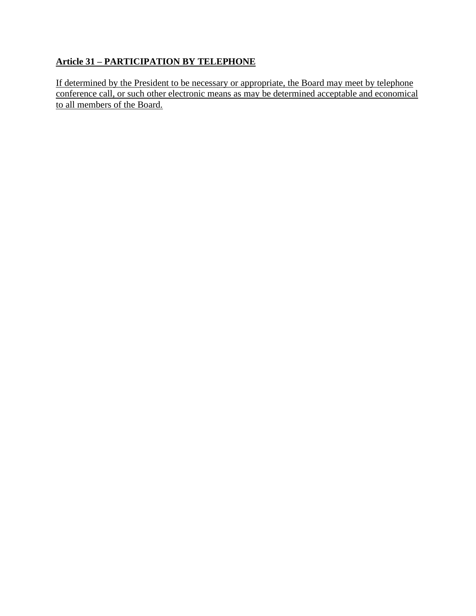# **Article 31 – PARTICIPATION BY TELEPHONE**

If determined by the President to be necessary or appropriate, the Board may meet by telephone conference call, or such other electronic means as may be determined acceptable and economical to all members of the Board.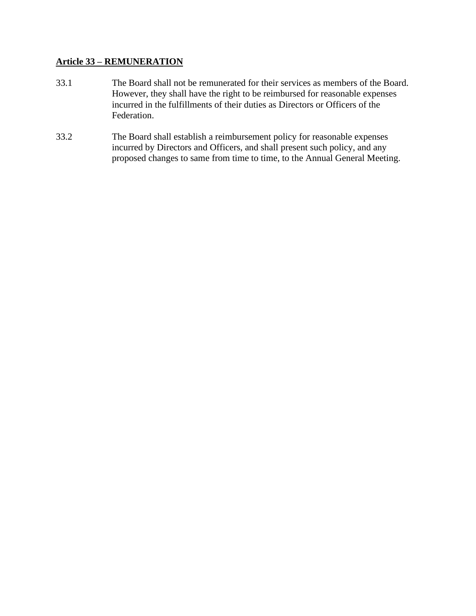### **Article 33 – REMUNERATION**

- 33.1 The Board shall not be remunerated for their services as members of the Board. However, they shall have the right to be reimbursed for reasonable expenses incurred in the fulfillments of their duties as Directors or Officers of the Federation.
- 33.2 The Board shall establish a reimbursement policy for reasonable expenses incurred by Directors and Officers, and shall present such policy, and any proposed changes to same from time to time, to the Annual General Meeting.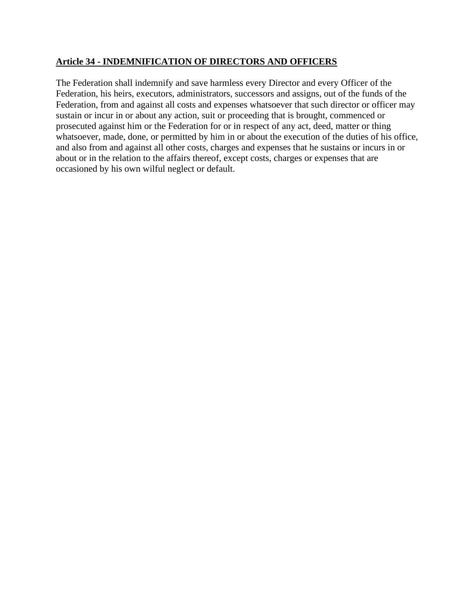### **Article 34 - INDEMNIFICATION OF DIRECTORS AND OFFICERS**

The Federation shall indemnify and save harmless every Director and every Officer of the Federation, his heirs, executors, administrators, successors and assigns, out of the funds of the Federation, from and against all costs and expenses whatsoever that such director or officer may sustain or incur in or about any action, suit or proceeding that is brought, commenced or prosecuted against him or the Federation for or in respect of any act, deed, matter or thing whatsoever, made, done, or permitted by him in or about the execution of the duties of his office, and also from and against all other costs, charges and expenses that he sustains or incurs in or about or in the relation to the affairs thereof, except costs, charges or expenses that are occasioned by his own wilful neglect or default.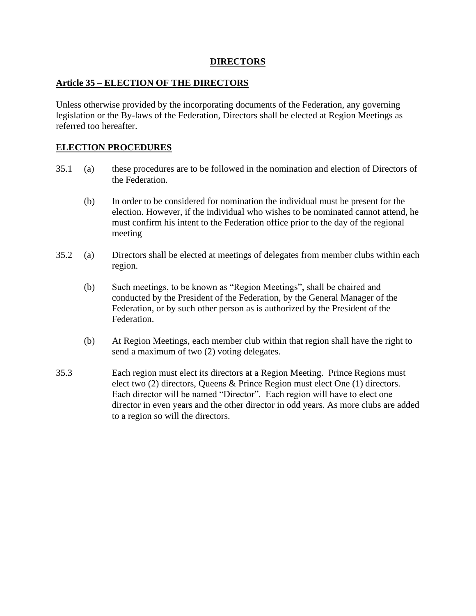### **DIRECTORS**

### **Article 35 – ELECTION OF THE DIRECTORS**

Unless otherwise provided by the incorporating documents of the Federation, any governing legislation or the By-laws of the Federation, Directors shall be elected at Region Meetings as referred too hereafter.

### **ELECTION PROCEDURES**

- 35.1 (a) these procedures are to be followed in the nomination and election of Directors of the Federation.
	- (b) In order to be considered for nomination the individual must be present for the election. However, if the individual who wishes to be nominated cannot attend, he must confirm his intent to the Federation office prior to the day of the regional meeting
- 35.2 (a) Directors shall be elected at meetings of delegates from member clubs within each region.
	- (b) Such meetings, to be known as "Region Meetings", shall be chaired and conducted by the President of the Federation, by the General Manager of the Federation, or by such other person as is authorized by the President of the Federation.
	- (b) At Region Meetings, each member club within that region shall have the right to send a maximum of two (2) voting delegates.
- 35.3 Each region must elect its directors at a Region Meeting. Prince Regions must elect two (2) directors, Queens & Prince Region must elect One (1) directors. Each director will be named "Director". Each region will have to elect one director in even years and the other director in odd years. As more clubs are added to a region so will the directors.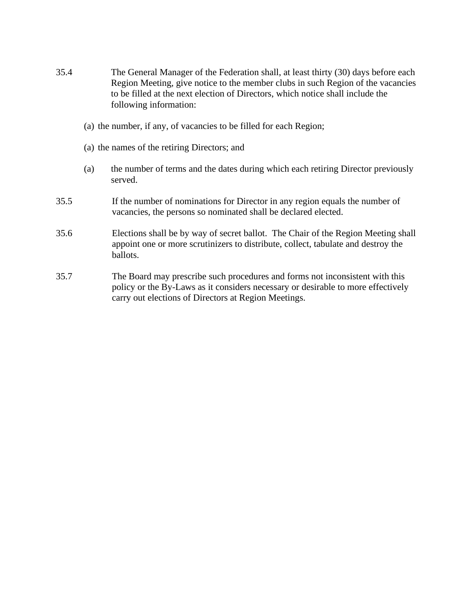- 35.4 The General Manager of the Federation shall, at least thirty (30) days before each Region Meeting, give notice to the member clubs in such Region of the vacancies to be filled at the next election of Directors, which notice shall include the following information:
	- (a) the number, if any, of vacancies to be filled for each Region;
	- (a) the names of the retiring Directors; and
	- (a) the number of terms and the dates during which each retiring Director previously served.
- 35.5 If the number of nominations for Director in any region equals the number of vacancies, the persons so nominated shall be declared elected.
- 35.6 Elections shall be by way of secret ballot. The Chair of the Region Meeting shall appoint one or more scrutinizers to distribute, collect, tabulate and destroy the ballots.
- 35.7 The Board may prescribe such procedures and forms not inconsistent with this policy or the By-Laws as it considers necessary or desirable to more effectively carry out elections of Directors at Region Meetings.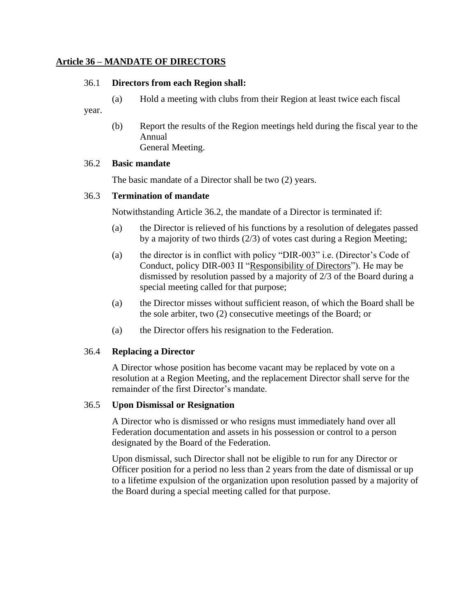#### **Article 36 – MANDATE OF DIRECTORS**

#### 36.1 **Directors from each Region shall:**

(a) Hold a meeting with clubs from their Region at least twice each fiscal

year.

(b) Report the results of the Region meetings held during the fiscal year to the Annual General Meeting.

#### 36.2 **Basic mandate**

The basic mandate of a Director shall be two (2) years.

#### 36.3 **Termination of mandate**

Notwithstanding Article 36.2, the mandate of a Director is terminated if:

- (a) the Director is relieved of his functions by a resolution of delegates passed by a majority of two thirds (2/3) of votes cast during a Region Meeting;
- (a) the director is in conflict with policy "DIR-003" i.e. (Director's Code of Conduct, policy DIR-003 II "Responsibility of Directors"). He may be dismissed by resolution passed by a majority of 2/3 of the Board during a special meeting called for that purpose;
- (a) the Director misses without sufficient reason, of which the Board shall be the sole arbiter, two (2) consecutive meetings of the Board; or
- (a) the Director offers his resignation to the Federation.

#### 36.4 **Replacing a Director**

A Director whose position has become vacant may be replaced by vote on a resolution at a Region Meeting, and the replacement Director shall serve for the remainder of the first Director's mandate.

#### 36.5 **Upon Dismissal or Resignation**

A Director who is dismissed or who resigns must immediately hand over all Federation documentation and assets in his possession or control to a person designated by the Board of the Federation.

Upon dismissal, such Director shall not be eligible to run for any Director or Officer position for a period no less than 2 years from the date of dismissal or up to a lifetime expulsion of the organization upon resolution passed by a majority of the Board during a special meeting called for that purpose.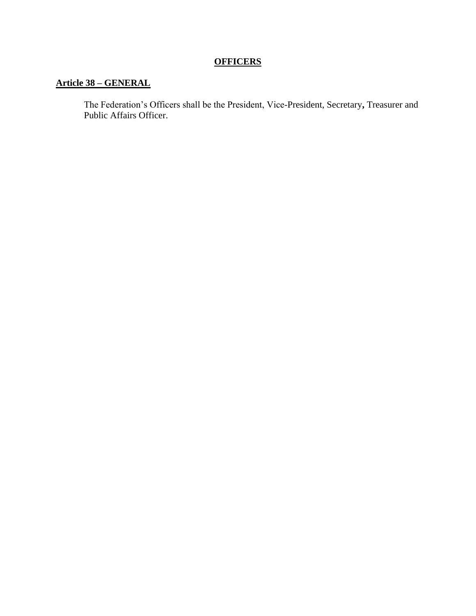## **OFFICERS**

## **Article 38 – GENERAL**

The Federation's Officers shall be the President, Vice-President, Secretary**,** Treasurer and Public Affairs Officer.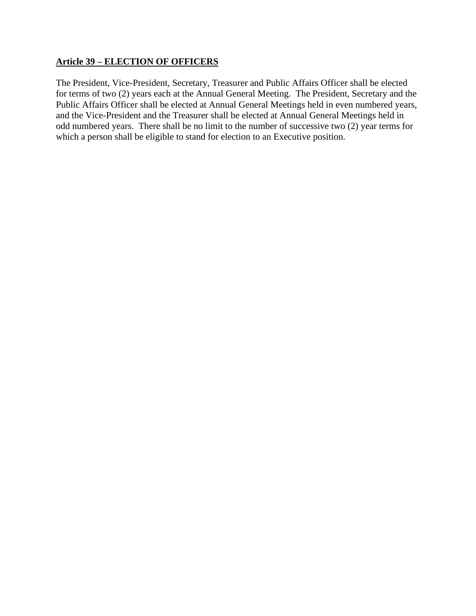### **Article 39 – ELECTION OF OFFICERS**

The President, Vice-President, Secretary, Treasurer and Public Affairs Officer shall be elected for terms of two (2) years each at the Annual General Meeting. The President, Secretary and the Public Affairs Officer shall be elected at Annual General Meetings held in even numbered years, and the Vice-President and the Treasurer shall be elected at Annual General Meetings held in odd numbered years. There shall be no limit to the number of successive two (2) year terms for which a person shall be eligible to stand for election to an Executive position.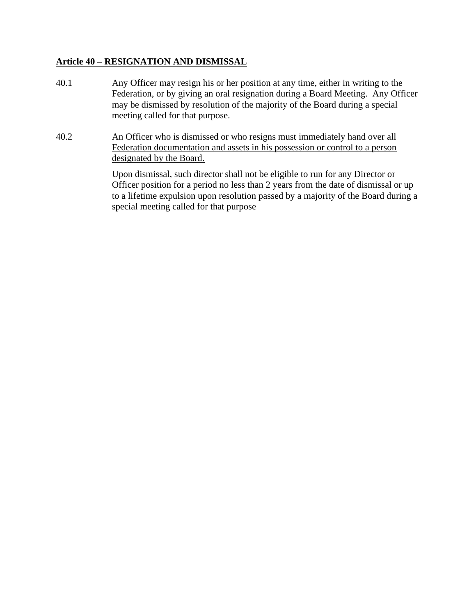#### **Article 40 – RESIGNATION AND DISMISSAL**

- 40.1 Any Officer may resign his or her position at any time, either in writing to the Federation, or by giving an oral resignation during a Board Meeting. Any Officer may be dismissed by resolution of the majority of the Board during a special meeting called for that purpose.
- 40.2 An Officer who is dismissed or who resigns must immediately hand over all Federation documentation and assets in his possession or control to a person designated by the Board.

Upon dismissal, such director shall not be eligible to run for any Director or Officer position for a period no less than 2 years from the date of dismissal or up to a lifetime expulsion upon resolution passed by a majority of the Board during a special meeting called for that purpose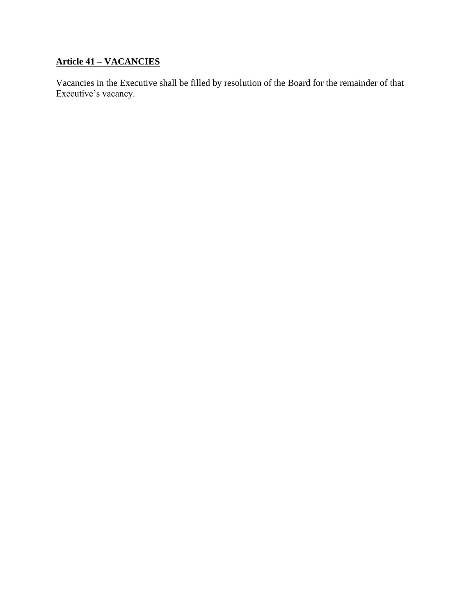## **Article 41 – VACANCIES**

Vacancies in the Executive shall be filled by resolution of the Board for the remainder of that Executive's vacancy.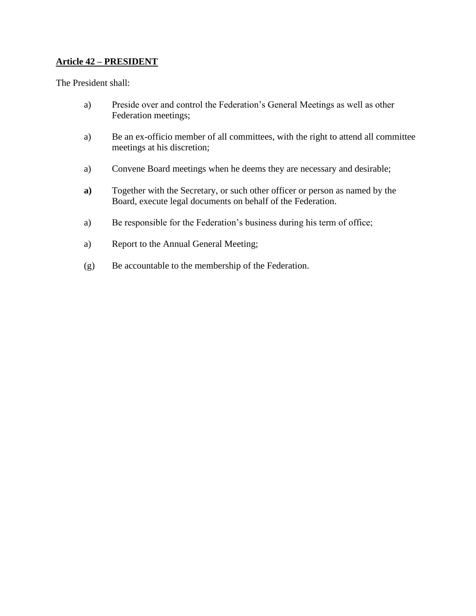## **Article 42 – PRESIDENT**

The President shall:

- a) Preside over and control the Federation's General Meetings as well as other Federation meetings;
- a) Be an ex-officio member of all committees, with the right to attend all committee meetings at his discretion;
- a) Convene Board meetings when he deems they are necessary and desirable;
- **a)** Together with the Secretary, or such other officer or person as named by the Board, execute legal documents on behalf of the Federation.
- a) Be responsible for the Federation's business during his term of office;
- a) Report to the Annual General Meeting;
- (g) Be accountable to the membership of the Federation.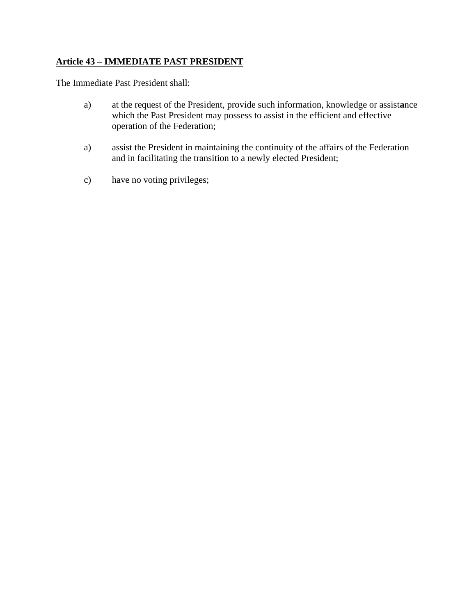## **Article 43 – IMMEDIATE PAST PRESIDENT**

The Immediate Past President shall:

- a) at the request of the President, provide such information, knowledge or assist**a**nce which the Past President may possess to assist in the efficient and effective operation of the Federation;
- a) assist the President in maintaining the continuity of the affairs of the Federation and in facilitating the transition to a newly elected President;
- c) have no voting privileges;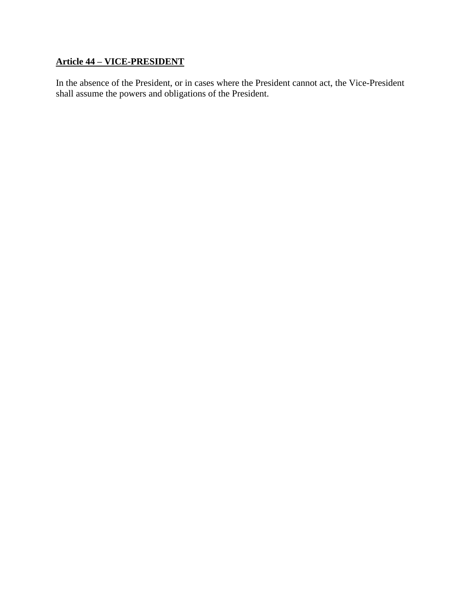## **Article 44 – VICE-PRESIDENT**

In the absence of the President, or in cases where the President cannot act, the Vice-President shall assume the powers and obligations of the President.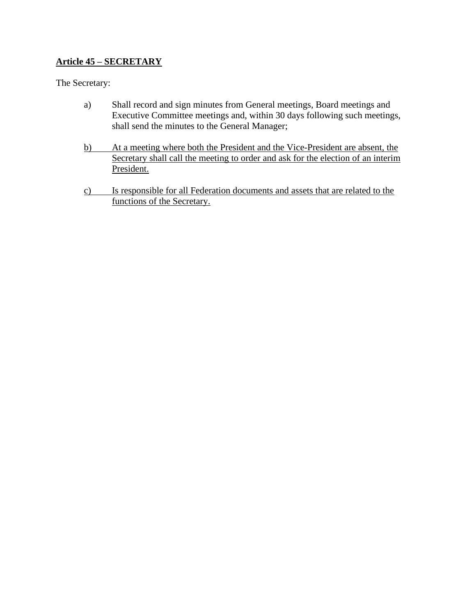## **Article 45 – SECRETARY**

The Secretary:

- a) Shall record and sign minutes from General meetings, Board meetings and Executive Committee meetings and, within 30 days following such meetings, shall send the minutes to the General Manager;
- b) At a meeting where both the President and the Vice-President are absent, the Secretary shall call the meeting to order and ask for the election of an interim President.
- c) Is responsible for all Federation documents and assets that are related to the functions of the Secretary.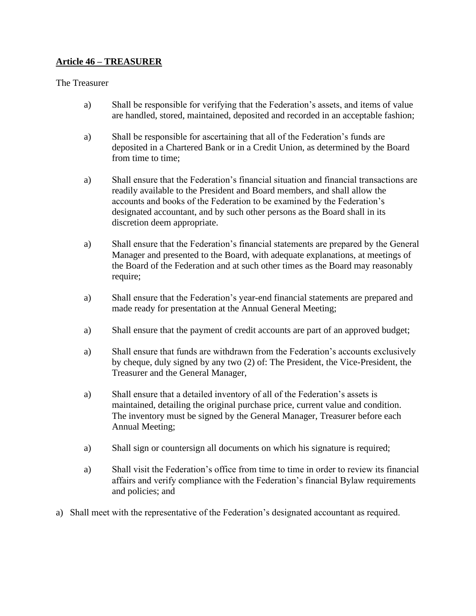## **Article 46 – TREASURER**

#### The Treasurer

- a) Shall be responsible for verifying that the Federation's assets, and items of value are handled, stored, maintained, deposited and recorded in an acceptable fashion;
- a) Shall be responsible for ascertaining that all of the Federation's funds are deposited in a Chartered Bank or in a Credit Union, as determined by the Board from time to time;
- a) Shall ensure that the Federation's financial situation and financial transactions are readily available to the President and Board members, and shall allow the accounts and books of the Federation to be examined by the Federation's designated accountant, and by such other persons as the Board shall in its discretion deem appropriate.
- a) Shall ensure that the Federation's financial statements are prepared by the General Manager and presented to the Board, with adequate explanations, at meetings of the Board of the Federation and at such other times as the Board may reasonably require;
- a) Shall ensure that the Federation's year-end financial statements are prepared and made ready for presentation at the Annual General Meeting;
- a) Shall ensure that the payment of credit accounts are part of an approved budget;
- a) Shall ensure that funds are withdrawn from the Federation's accounts exclusively by cheque, duly signed by any two (2) of: The President, the Vice-President, the Treasurer and the General Manager,
- a) Shall ensure that a detailed inventory of all of the Federation's assets is maintained, detailing the original purchase price, current value and condition. The inventory must be signed by the General Manager, Treasurer before each Annual Meeting;
- a) Shall sign or countersign all documents on which his signature is required;
- a) Shall visit the Federation's office from time to time in order to review its financial affairs and verify compliance with the Federation's financial Bylaw requirements and policies; and
- a) Shall meet with the representative of the Federation's designated accountant as required.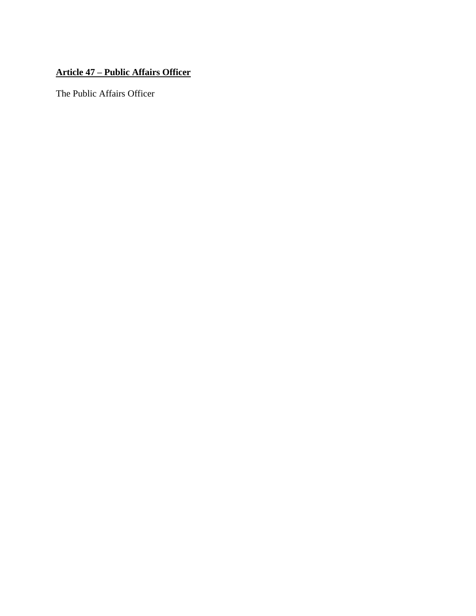## **Article 47 – Public Affairs Officer**

The Public Affairs Officer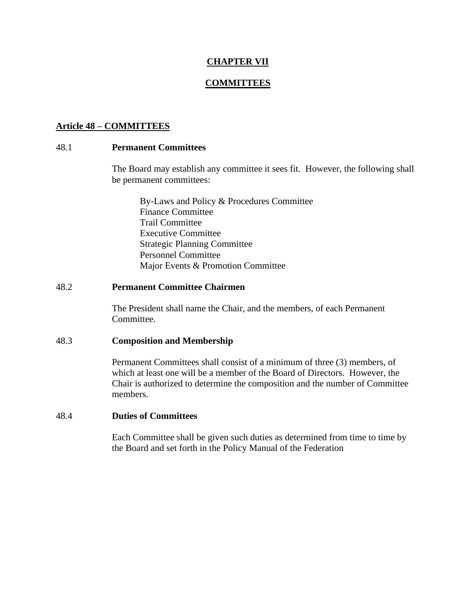### **CHAPTER VII**

#### **COMMITTEES**

#### **Article 48 – COMMITTEES**

#### 48.1 **Permanent Committees**

The Board may establish any committee it sees fit. However, the following shall be permanent committees:

By-Laws and Policy & Procedures Committee Finance Committee Trail Committee Executive Committee Strategic Planning Committee Personnel Committee Major Events & Promotion Committee

#### 48.2 **Permanent Committee Chairmen**

The President shall name the Chair, and the members, of each Permanent Committee.

#### 48.3 **Composition and Membership**

Permanent Committees shall consist of a minimum of three (3) members, of which at least one will be a member of the Board of Directors. However, the Chair is authorized to determine the composition and the number of Committee members.

#### 48.4 **Duties of Committees**

Each Committee shall be given such duties as determined from time to time by the Board and set forth in the Policy Manual of the Federation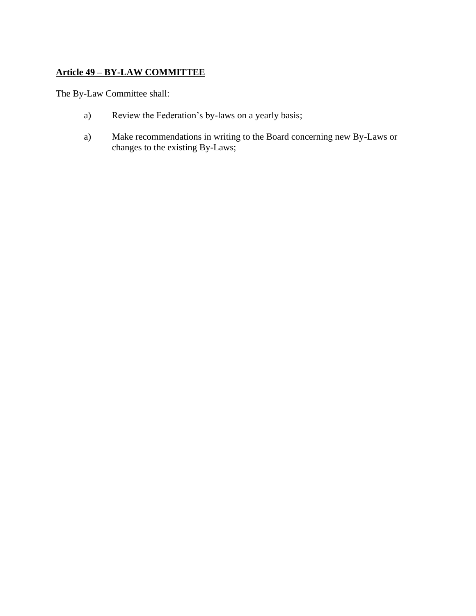## **Article 49 – BY-LAW COMMITTEE**

The By-Law Committee shall:

- a) Review the Federation's by-laws on a yearly basis;
- a) Make recommendations in writing to the Board concerning new By-Laws or changes to the existing By-Laws;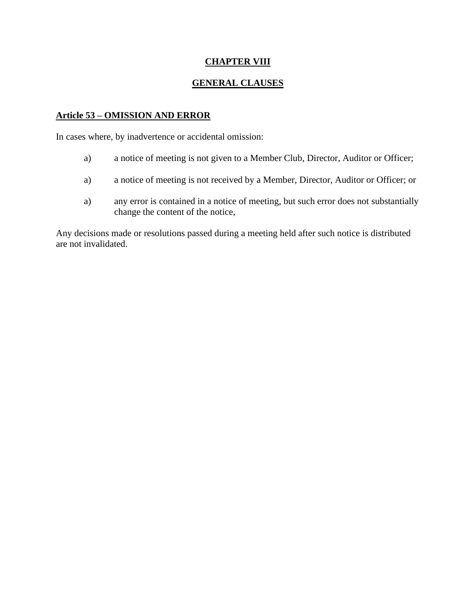## **CHAPTER VIII**

## **GENERAL CLAUSES**

### **Article 53 – OMISSION AND ERROR**

In cases where, by inadvertence or accidental omission:

- a) a notice of meeting is not given to a Member Club, Director, Auditor or Officer;
- a) a notice of meeting is not received by a Member, Director, Auditor or Officer; or
- a) any error is contained in a notice of meeting, but such error does not substantially change the content of the notice,

Any decisions made or resolutions passed during a meeting held after such notice is distributed are not invalidated.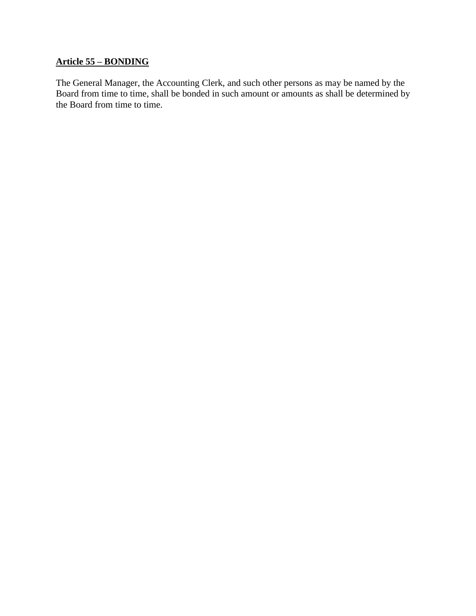## **Article 55 – BONDING**

The General Manager, the Accounting Clerk, and such other persons as may be named by the Board from time to time, shall be bonded in such amount or amounts as shall be determined by the Board from time to time.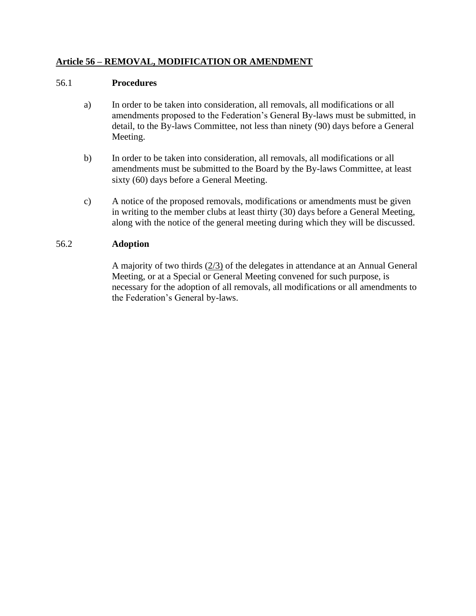## **Article 56 – REMOVAL, MODIFICATION OR AMENDMENT**

#### 56.1 **Procedures**

- a) In order to be taken into consideration, all removals, all modifications or all amendments proposed to the Federation's General By-laws must be submitted, in detail, to the By-laws Committee, not less than ninety (90) days before a General Meeting.
- b) In order to be taken into consideration, all removals, all modifications or all amendments must be submitted to the Board by the By-laws Committee, at least sixty (60) days before a General Meeting.
- c) A notice of the proposed removals, modifications or amendments must be given in writing to the member clubs at least thirty (30) days before a General Meeting, along with the notice of the general meeting during which they will be discussed.

### 56.2 **Adoption**

A majority of two thirds (2/3) of the delegates in attendance at an Annual General Meeting, or at a Special or General Meeting convened for such purpose, is necessary for the adoption of all removals, all modifications or all amendments to the Federation's General by-laws.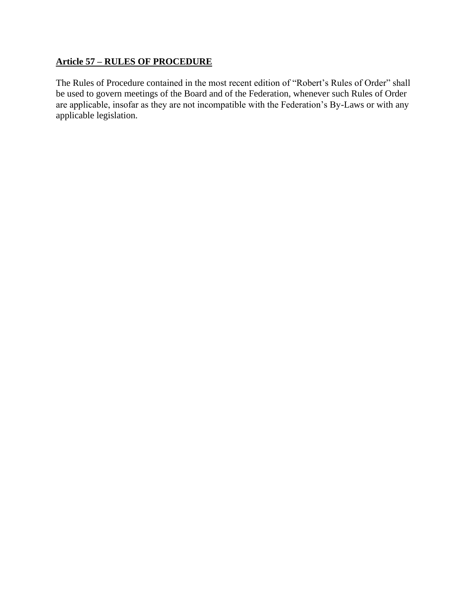## **Article 57 – RULES OF PROCEDURE**

The Rules of Procedure contained in the most recent edition of "Robert's Rules of Order" shall be used to govern meetings of the Board and of the Federation, whenever such Rules of Order are applicable, insofar as they are not incompatible with the Federation's By-Laws or with any applicable legislation.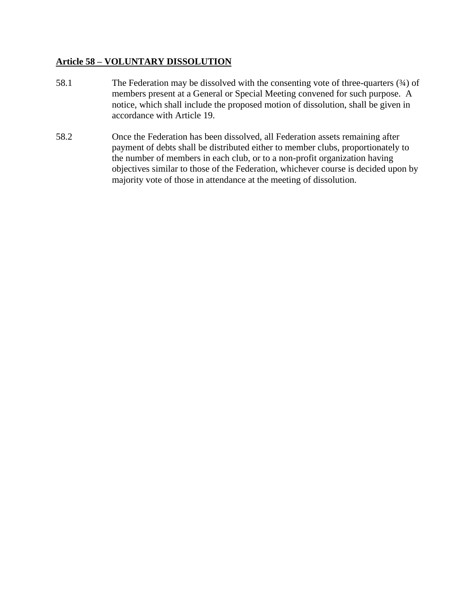### **Article 58 – VOLUNTARY DISSOLUTION**

- 58.1 The Federation may be dissolved with the consenting vote of three-quarters ( $\frac{3}{4}$ ) of members present at a General or Special Meeting convened for such purpose. A notice, which shall include the proposed motion of dissolution, shall be given in accordance with Article 19.
- 58.2 Once the Federation has been dissolved, all Federation assets remaining after payment of debts shall be distributed either to member clubs, proportionately to the number of members in each club, or to a non-profit organization having objectives similar to those of the Federation, whichever course is decided upon by majority vote of those in attendance at the meeting of dissolution.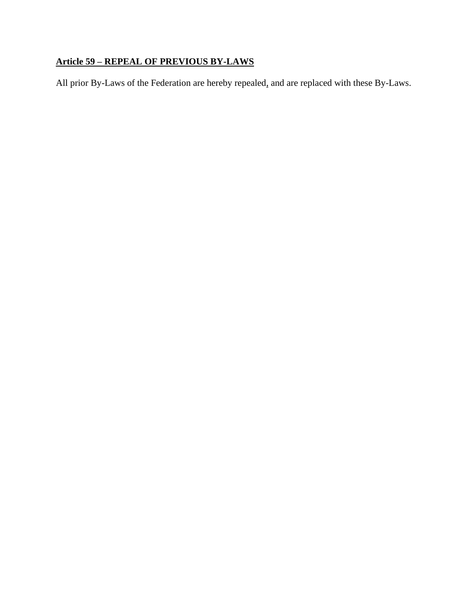## **Article 59 – REPEAL OF PREVIOUS BY-LAWS**

All prior By-Laws of the Federation are hereby repealed, and are replaced with these By-Laws.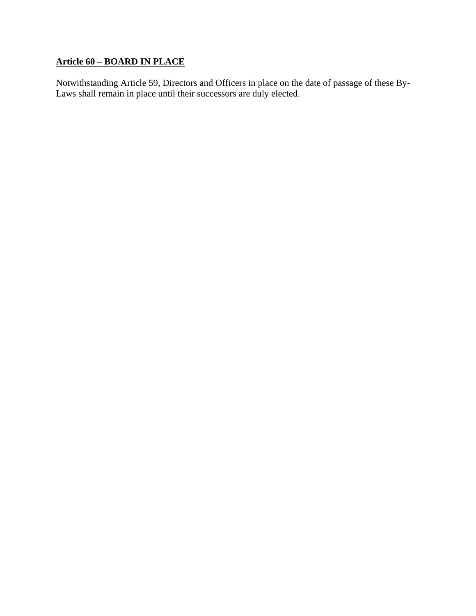## **Article 60 – BOARD IN PLACE**

Notwithstanding Article 59, Directors and Officers in place on the date of passage of these By-Laws shall remain in place until their successors are duly elected.